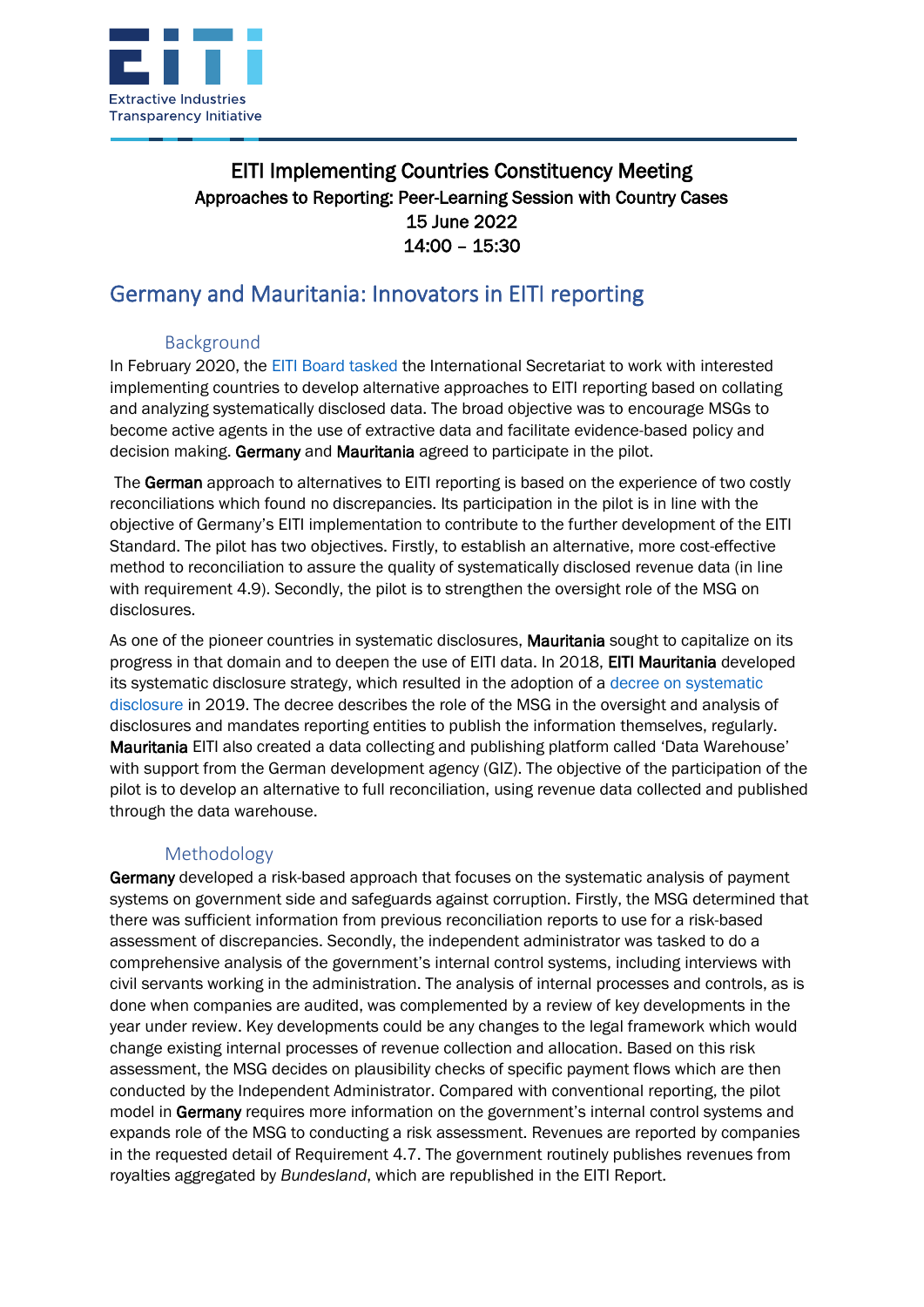

### EITI Implementing Countries Constituency Meeting Approaches to Reporting: Peer-Learning Session with Country Cases 15 June 2022 14:00 – 15:30

# Germany and Mauritania: Innovators in EITI reporting

#### Background

In February 2020, the [EITI Board tasked](https://eiti.org/sites/default/files/attachments/final_minutes_46th_board_meeting_oslo.pdf) the International Secretariat to work with interested implementing countries to develop alternative approaches to EITI reporting based on collating and analyzing systematically disclosed data. The broad objective was to encourage MSGs to become active agents in the use of extractive data and facilitate evidence-based policy and decision making. Germany and Mauritania agreed to participate in the pilot.

The German approach to alternatives to EITI reporting is based on the experience of two costly reconciliations which found no discrepancies. Its participation in the pilot is in line with the objective of Germany's EITI implementation to contribute to the further development of the EITI Standard. The pilot has two objectives. Firstly, to establish an alternative, more cost-effective method to reconciliation to assure the quality of systematically disclosed revenue data (in line with requirement 4.9). Secondly, the pilot is to strengthen the oversight role of the MSG on disclosures.

As one of the pioneer countries in systematic disclosures. **Mauritania** sought to capitalize on its progress in that domain and to deepen the use of EITI data. In 2018, EITI Mauritania developed its systematic disclosure strategy, which resulted in the adoption of a [decree on systematic](https://eiti.org/documents/decree-systematic-disclosure-mauritania)  [disclosure](https://eiti.org/documents/decree-systematic-disclosure-mauritania) in 2019. The decree describes the role of the MSG in the oversight and analysis of disclosures and mandates reporting entities to publish the information themselves, regularly. Mauritania EITI also created a data collecting and publishing platform called 'Data Warehouse' with support from the German development agency (GIZ). The objective of the participation of the pilot is to develop an alternative to full reconciliation, using revenue data collected and published through the data warehouse.

### Methodology

Germany developed a risk-based approach that focuses on the systematic analysis of payment systems on government side and safeguards against corruption. Firstly, the MSG determined that there was sufficient information from previous reconciliation reports to use for a risk-based assessment of discrepancies. Secondly, the independent administrator was tasked to do a comprehensive analysis of the government's internal control systems, including interviews with civil servants working in the administration. The analysis of internal processes and controls, as is done when companies are audited, was complemented by a review of key developments in the year under review. Key developments could be any changes to the legal framework which would change existing internal processes of revenue collection and allocation. Based on this risk assessment, the MSG decides on plausibility checks of specific payment flows which are then conducted by the Independent Administrator. Compared with conventional reporting, the pilot model in Germany requires more information on the government's internal control systems and expands role of the MSG to conducting a risk assessment. Revenues are reported by companies in the requested detail of Requirement 4.7. The government routinely publishes revenues from royalties aggregated by *Bundesland*, which are republished in the EITI Report.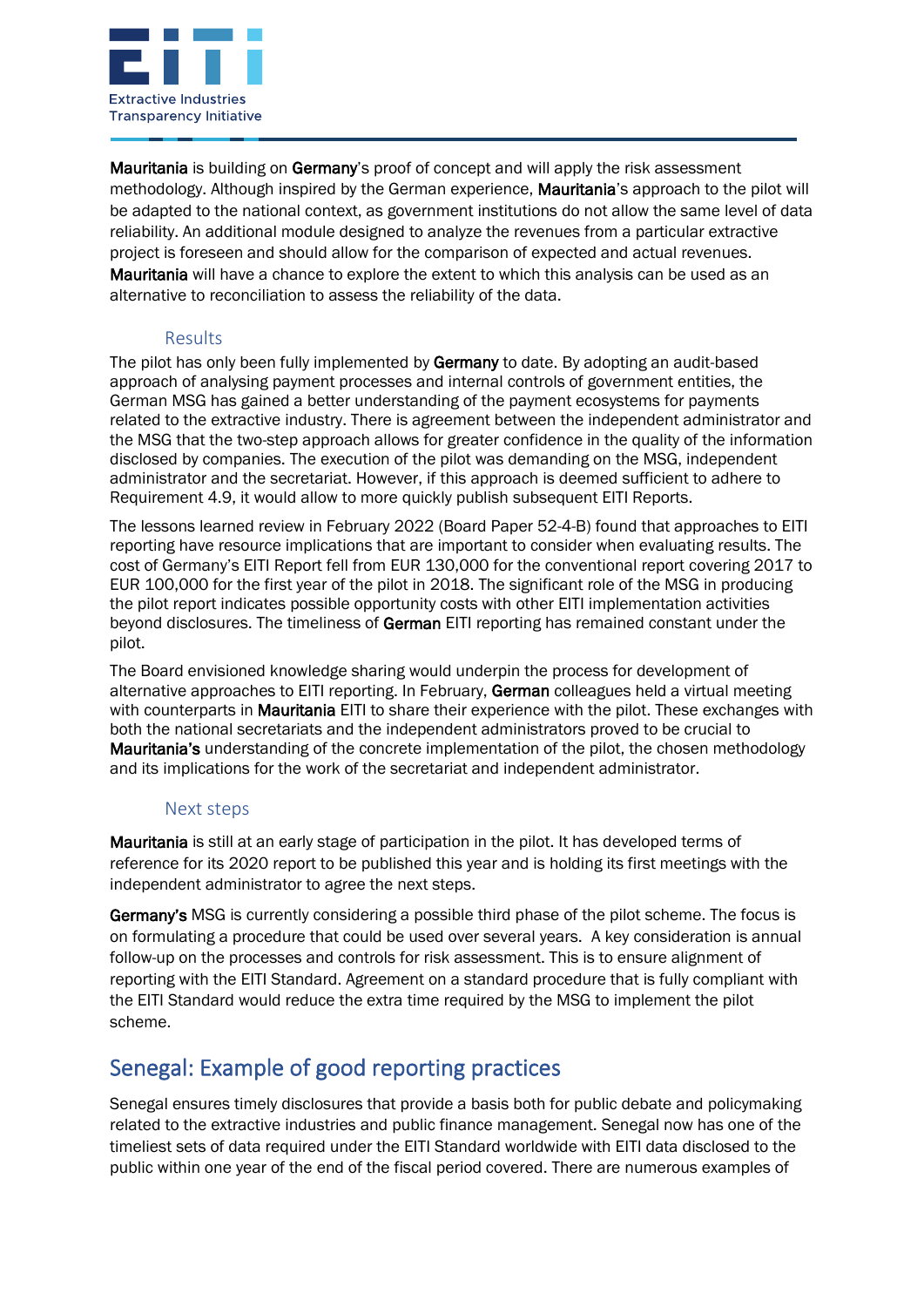

Mauritania is building on Germany's proof of concept and will apply the risk assessment methodology. Although inspired by the German experience, Mauritania's approach to the pilot will be adapted to the national context, as government institutions do not allow the same level of data reliability. An additional module designed to analyze the revenues from a particular extractive project is foreseen and should allow for the comparison of expected and actual revenues. Mauritania will have a chance to explore the extent to which this analysis can be used as an alternative to reconciliation to assess the reliability of the data.

### Results

The pilot has only been fully implemented by Germany to date. By adopting an audit-based approach of analysing payment processes and internal controls of government entities, the German MSG has gained a better understanding of the payment ecosystems for payments related to the extractive industry. There is agreement between the independent administrator and the MSG that the two-step approach allows for greater confidence in the quality of the information disclosed by companies. The execution of the pilot was demanding on the MSG, independent administrator and the secretariat. However, if this approach is deemed sufficient to adhere to Requirement 4.9, it would allow to more quickly publish subsequent EITI Reports.

The lessons learned review in February 2022 (Board Paper 52-4-B) found that approaches to EITI reporting have resource implications that are important to consider when evaluating results. The cost of Germany's EITI Report fell from EUR 130,000 for the conventional report covering 2017 to EUR 100,000 for the first year of the pilot in 2018. The significant role of the MSG in producing the pilot report indicates possible opportunity costs with other EITI implementation activities beyond disclosures. The timeliness of German EITI reporting has remained constant under the pilot.

The Board envisioned knowledge sharing would underpin the process for development of alternative approaches to EITI reporting. In February, German colleagues held a virtual meeting with counterparts in **Mauritania** EITI to share their experience with the pilot. These exchanges with both the national secretariats and the independent administrators proved to be crucial to Mauritania's understanding of the concrete implementation of the pilot, the chosen methodology and its implications for the work of the secretariat and independent administrator.

#### Next steps

Mauritania is still at an early stage of participation in the pilot. It has developed terms of reference for its 2020 report to be published this year and is holding its first meetings with the independent administrator to agree the next steps.

Germany's MSG is currently considering a possible third phase of the pilot scheme. The focus is on formulating a procedure that could be used over several years. A key consideration is annual follow-up on the processes and controls for risk assessment. This is to ensure alignment of reporting with the EITI Standard. Agreement on a standard procedure that is fully compliant with the EITI Standard would reduce the extra time required by the MSG to implement the pilot scheme.

# Senegal: Example of good reporting practices

Senegal ensures timely disclosures that provide a basis both for public debate and policymaking related to the extractive industries and public finance management. Senegal now has one of the timeliest sets of data required under the EITI Standard worldwide with EITI data disclosed to the public within one year of the end of the fiscal period covered. There are numerous examples of